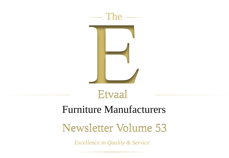



# Furniture Manufacturers

# Newsletter Volume 53

*Excellence in Quality & Service*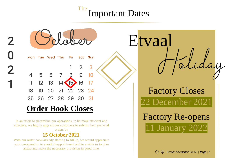# The Important Dates

|                                                                                   | Etvaal                  |
|-----------------------------------------------------------------------------------|-------------------------|
| Mon Tue Wed Thu<br>Fri<br>Sat Sun                                                 |                         |
| З                                                                                 |                         |
| 9<br>6<br>5<br>10 <sub>10</sub><br>$\overline{4}$                                 |                         |
| 12 13<br>16<br>$\sqrt{15}$<br>$14 \cdot$                                          |                         |
| 20<br>$22 \t 23$<br>21<br>18<br>19<br>24                                          | <b>Factory Closes</b>   |
| 25 26 27 28 29 30<br>- 31                                                         | 22 December 2021        |
| <b>Order Book Closes</b>                                                          |                         |
| In an effort to streamline our operations, to be more efficient and               | <b>Factory Re-opens</b> |
| effective, we highly urge all our customers to submit their year-end<br>orders by | 11 January 2022         |

### **15 October 2021**.

 $\mathbf 2$ 

 $\overline{2}$ 

With our order book already starting to fill up, we would appreciate your co-operation to avoid disappointment and to enable us to plan ahead and make the necessary provision in good time.

*Etvaal Newsletter Vol 53 | Page | 1*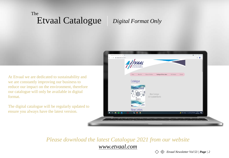### The Etvaal Catalogue *Digital Format Only*

At Etvaal we are dedicated to sustainability and we are constantly improving our business to reduce our impact on the environment, therefore our catalogue will only be available in digital format.

The digital catalogue will be regularly updated to ensure you always have the latest version.



### *Please download the latest Catalogue 2021 from our website www.etvaal.com*

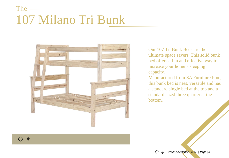# The  $-$ 107 Milano Tri Bunk



Our 107 Tri Bunk Beds are the ultimate space savers. This solid bunk bed offers a fun and effective way to increase your home's sleeping capacity.

Manufactured from SA Furniture Pine, this bunk bed is neat, versatile and has a standard single bed at the top and a standard sized three quarter at the bottom.

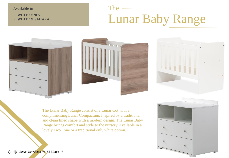Available in

- **WHITE ONLY**
- **WHITE & SAHARA**

# The  $-$ Lunar Baby Range







The Lunar Baby Range consist of a Lunar Cot with a complimenting Lunar Compactum. Inspired by a traditional and clean lined shape with a modern design. The Lunar Baby Range brings comfort and style to the nursery. Available in a lovely Two Tone or a traditional only white option.



*Etvaal Newsletter Vol 53 | Page | 4*◇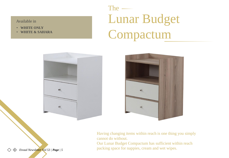Available in

- **WHITE ONLY**
- **WHITE & SAHARA**

# The  $-$ Lunar Budget Compactum





Having changing items within reach is one thing you simply cannot do without.

Our Lunar Budget Compactum has sufficient within reach packing space for nappies, cream and wet wipes.

*Etvaal Newsletter Vol 53 | Page | 5* $\langle \diamond \rangle$ ◇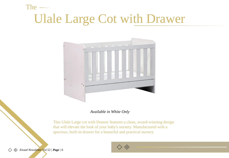# Ulale Large Cot with Drawer



*Available in White Only*

This Ulale Large cot with Drawer features a clean, award-winning design that will elevate the look of your baby's nursery. Manufactured with a spacious, built-in drawer for a beautiful and practical nursery



The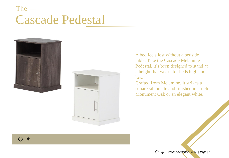### The Cascade Pedestal





A bed feels lost without a bedside table. Take the Cascade Melamine Pedestal, it's been designed to stand at a height that works for beds high and low.

Crafted from Melamine, it strikes a square silhouette and finished in a rich Monument Oak or an elegant white.

*Etvaal Newsletter Vol 53 | Page | 7*

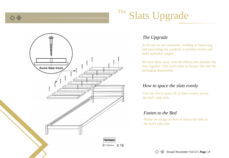

# The Slats Upgrade



### *The Upgrade*

At Etvaal we are constantly working at improving and innovating our products to produce better and more upmarket ranges.

We have done away with the ribbon that attaches the slats together. This saves time in factory line and the packaging department.

### *How to space the slats evenly*

Use one slat to space all of them evenly across the bed's side rails.

### *Fasten to the Bed*

Please see image on how to fasten the slats to the bed's side rails

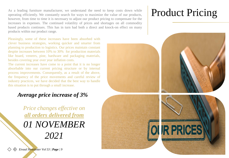As a leading furniture manufacturer, we understand the need to keep costs down while operating efficiently. We constantly search for ways to maximize the value of our products, however, from time to time it is necessary to adjust our product pricing to compensate for the increases in expenses. The continued volatility of prices and shortages on all commodity based products continues. This has in turn had both a direct and knock-on effect on many products within our product range.

Pleasingly, some of these increases have been absorbed with clever business strategies, working quicker and smarter from planning to production to logistics. Our prices maintain constant despite increases between 10% to 30% for production materials like board, veneers, pine, hardware and packaging materials, besides covering year over year inflation costs.

The current increases have come to a point that it is no longer absorbable into our current pricing structure or by internal process improvements. Consequently, as a result of the above, the frequency of the price movements and careful review of industry practices, we have decided that the best way to handle this situation is to put through a small increase.

### *Average price increase of 3%*

*Price changes effective on all orders delivered from 01 NOVEMBER 2021*

*Etvaal Newsletter Vol 53 | Page | 9*

# Product Pricing